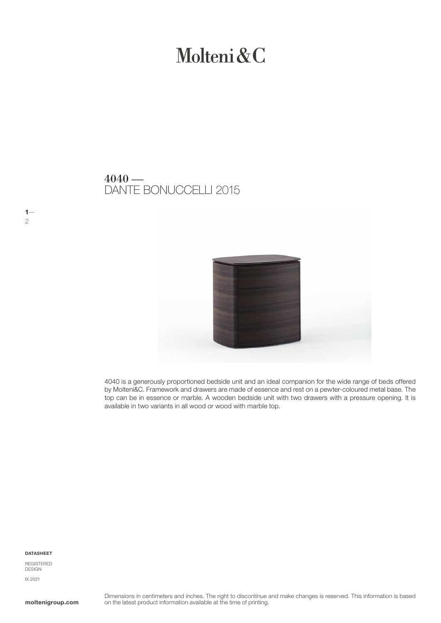# Molteni&C

## DANTE BONUCCELLI 2015  $4040 -$



4040 is a generously proportioned bedside unit and an ideal companion for the wide range of beds offered by Molteni&C. Framework and drawers are made of essence and rest on a pewter-coloured metal base. The top can be in essence or marble. A wooden bedside unit with two drawers with a pressure opening. It is available in two variants in all wood or wood with marble top.

#### DATASHEET

 $1-$ 

2

REGISTERED DESIGN IX.2021

moltenigroup.com